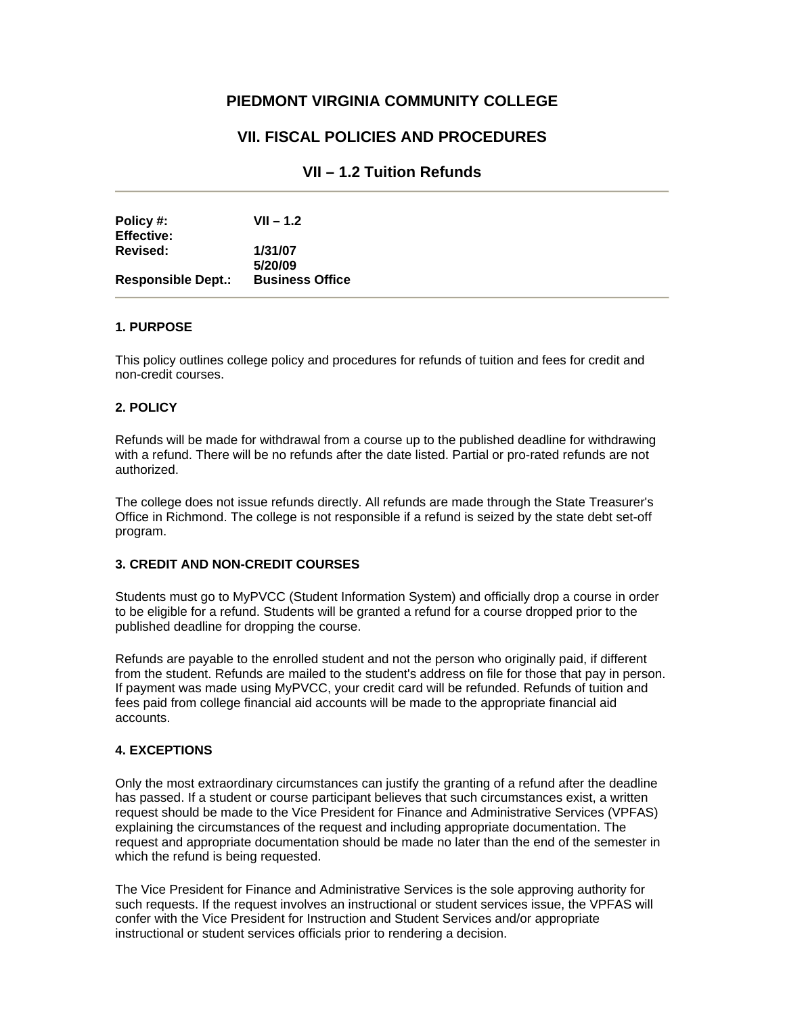# **PIEDMONT VIRGINIA COMMUNITY COLLEGE**

# **VII. FISCAL POLICIES AND PROCEDURES**

### **VII – 1.2 Tuition Refunds**

| Policy #:<br><b>Effective:</b> | $VII - 1.2$            |
|--------------------------------|------------------------|
| Revised:                       | 1/31/07                |
|                                | 5/20/09                |
| <b>Responsible Dept.:</b>      | <b>Business Office</b> |

#### **1. PURPOSE**

This policy outlines college policy and procedures for refunds of tuition and fees for credit and non-credit courses.

#### **2. POLICY**

Refunds will be made for withdrawal from a course up to the published deadline for withdrawing with a refund. There will be no refunds after the date listed. Partial or pro-rated refunds are not authorized.

The college does not issue refunds directly. All refunds are made through the State Treasurer's Office in Richmond. The college is not responsible if a refund is seized by the state debt set-off program.

#### **3. CREDIT AND NON-CREDIT COURSES**

Students must go to MyPVCC (Student Information System) and officially drop a course in order to be eligible for a refund. Students will be granted a refund for a course dropped prior to the published deadline for dropping the course.

Refunds are payable to the enrolled student and not the person who originally paid, if different from the student. Refunds are mailed to the student's address on file for those that pay in person. If payment was made using MyPVCC, your credit card will be refunded. Refunds of tuition and fees paid from college financial aid accounts will be made to the appropriate financial aid accounts.

### **4. EXCEPTIONS**

Only the most extraordinary circumstances can justify the granting of a refund after the deadline has passed. If a student or course participant believes that such circumstances exist, a written request should be made to the Vice President for Finance and Administrative Services (VPFAS) explaining the circumstances of the request and including appropriate documentation. The request and appropriate documentation should be made no later than the end of the semester in which the refund is being requested.

The Vice President for Finance and Administrative Services is the sole approving authority for such requests. If the request involves an instructional or student services issue, the VPFAS will confer with the Vice President for Instruction and Student Services and/or appropriate instructional or student services officials prior to rendering a decision.